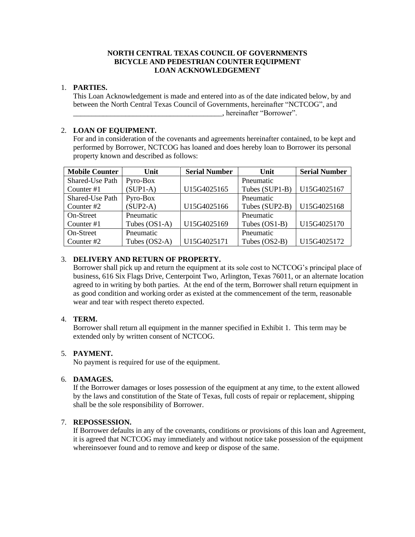# **NORTH CENTRAL TEXAS COUNCIL OF GOVERNMENTS BICYCLE AND PEDESTRIAN COUNTER EQUIPMENT LOAN ACKNOWLEDGEMENT**

# 1. **PARTIES.**

This Loan Acknowledgement is made and entered into as of the date indicated below, by and between the North Central Texas Council of Governments, hereinafter "NCTCOG", and \_\_\_\_\_\_\_\_\_\_\_\_\_\_\_\_\_\_\_\_\_\_\_\_\_\_\_\_\_\_\_\_\_\_\_\_\_\_\_\_, hereinafter "Borrower".

# 2. **LOAN OF EQUIPMENT.**

For and in consideration of the covenants and agreements hereinafter contained, to be kept and performed by Borrower, NCTCOG has loaned and does hereby loan to Borrower its personal property known and described as follows:

| <b>Mobile Counter</b> | Unit            | <b>Serial Number</b> | Unit           | <b>Serial Number</b> |
|-----------------------|-----------------|----------------------|----------------|----------------------|
| Shared-Use Path       | Pyro-Box        |                      | Pneumatic      |                      |
| Counter #1            | $(SUP1-A)$      | U15G4025165          | Tubes (SUP1-B) | U15G4025167          |
| Shared-Use Path       | Pyro-Box        |                      | Pneumatic      |                      |
| Counter #2            | $(SUP2-A)$      | U15G4025166          | Tubes (SUP2-B) | U15G4025168          |
| On-Street             | Pneumatic       |                      | Pneumatic      |                      |
| Counter #1            | Tubes $(OS1-A)$ | U15G4025169          | Tubes (OS1-B)  | U15G4025170          |
| On-Street             | Pneumatic       |                      | Pneumatic      |                      |
| Counter #2            | Tubes (OS2-A)   | U15G4025171          | Tubes (OS2-B)  | U15G4025172          |

# 3. **DELIVERY AND RETURN OF PROPERTY.**

Borrower shall pick up and return the equipment at its sole cost to NCTCOG's principal place of business, 616 Six Flags Drive, Centerpoint Two, Arlington, Texas 76011, or an alternate location agreed to in writing by both parties. At the end of the term, Borrower shall return equipment in as good condition and working order as existed at the commencement of the term, reasonable wear and tear with respect thereto expected.

# 4. **TERM.**

Borrower shall return all equipment in the manner specified in Exhibit 1. This term may be extended only by written consent of NCTCOG.

# 5. **PAYMENT.**

No payment is required for use of the equipment.

# 6. **DAMAGES.**

If the Borrower damages or loses possession of the equipment at any time, to the extent allowed by the laws and constitution of the State of Texas, full costs of repair or replacement, shipping shall be the sole responsibility of Borrower.

# 7. **REPOSSESSION.**

If Borrower defaults in any of the covenants, conditions or provisions of this loan and Agreement, it is agreed that NCTCOG may immediately and without notice take possession of the equipment whereinsoever found and to remove and keep or dispose of the same.